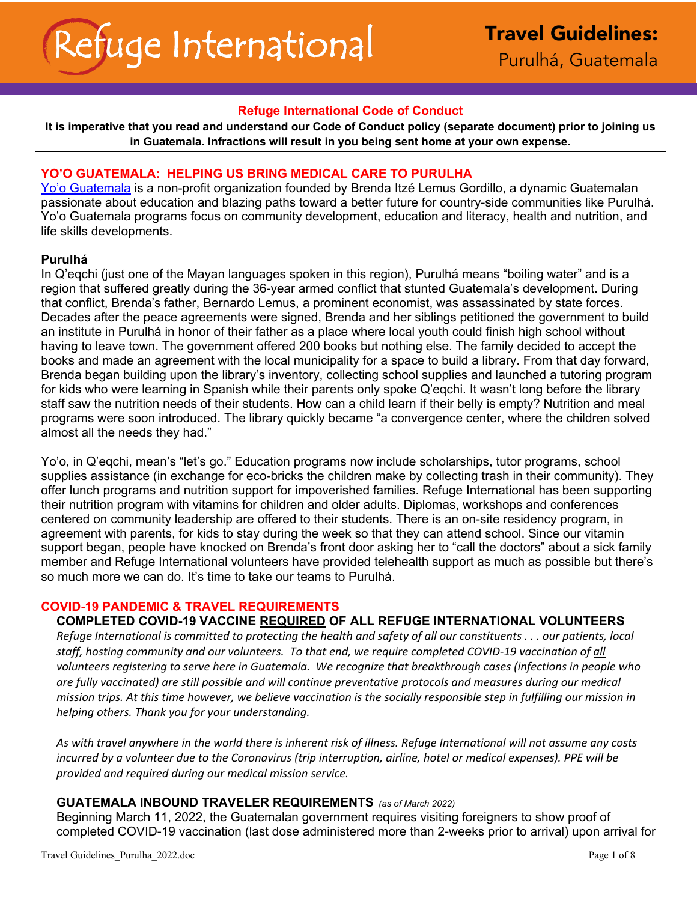## **Refuge International Code of Conduct**

**It is imperative that you read and understand our Code of Conduct policy (separate document) prior to joining us in Guatemala. Infractions will result in you being sent home at your own expense.**

## **YO'O GUATEMALA: HELPING US BRING MEDICAL CARE TO PURULHA**

Yo'o Guatemala is a non-profit organization founded by Brenda Itzé Lemus Gordillo, a dynamic Guatemalan passionate about education and blazing paths toward a better future for country-side communities like Purulhá. Yo'o Guatemala programs focus on community development, education and literacy, health and nutrition, and life skills developments.

### **Purulhá**

In Q'eqchi (just one of the Mayan languages spoken in this region), Purulhá means "boiling water" and is a region that suffered greatly during the 36-year armed conflict that stunted Guatemala's development. During that conflict, Brenda's father, Bernardo Lemus, a prominent economist, was assassinated by state forces. Decades after the peace agreements were signed, Brenda and her siblings petitioned the government to build an institute in Purulhá in honor of their father as a place where local youth could finish high school without having to leave town. The government offered 200 books but nothing else. The family decided to accept the books and made an agreement with the local municipality for a space to build a library. From that day forward, Brenda began building upon the library's inventory, collecting school supplies and launched a tutoring program for kids who were learning in Spanish while their parents only spoke Q'eqchi. It wasn't long before the library staff saw the nutrition needs of their students. How can a child learn if their belly is empty? Nutrition and meal programs were soon introduced. The library quickly became "a convergence center, where the children solved almost all the needs they had."

Yo'o, in Q'eqchi, mean's "let's go." Education programs now include scholarships, tutor programs, school supplies assistance (in exchange for eco-bricks the children make by collecting trash in their community). They offer lunch programs and nutrition support for impoverished families. Refuge International has been supporting their nutrition program with vitamins for children and older adults. Diplomas, workshops and conferences centered on community leadership are offered to their students. There is an on-site residency program, in agreement with parents, for kids to stay during the week so that they can attend school. Since our vitamin support began, people have knocked on Brenda's front door asking her to "call the doctors" about a sick family member and Refuge International volunteers have provided telehealth support as much as possible but there's so much more we can do. It's time to take our teams to Purulhá.

### **COVID-19 PANDEMIC & TRAVEL REQUIREMENTS**

## **COMPLETED COVID-19 VACCINE REQUIRED OF ALL REFUGE INTERNATIONAL VOLUNTEERS**

*Refuge International is committed to protecting the health and safety of all our constituents . . . our patients, local staff, hosting community and our volunteers. To that end, we require completed COVID-19 vaccination of all volunteers registering to serve here in Guatemala. We recognize that breakthrough cases (infections in people who are fully vaccinated) are still possible and will continue preventative protocols and measures during our medical mission trips. At this time however, we believe vaccination is the socially responsible step in fulfilling our mission in helping others. Thank you for your understanding.*

*As with travel anywhere in the world there is inherent risk of illness. Refuge International will not assume any costs incurred by a volunteer due to the Coronavirus (trip interruption, airline, hotel or medical expenses). PPE will be provided and required during our medical mission service.*

### **GUATEMALA INBOUND TRAVELER REQUIREMENTS** *(as of March 2022)*

Beginning March 11, 2022, the Guatemalan government requires visiting foreigners to show proof of completed COVID-19 vaccination (last dose administered more than 2-weeks prior to arrival) upon arrival for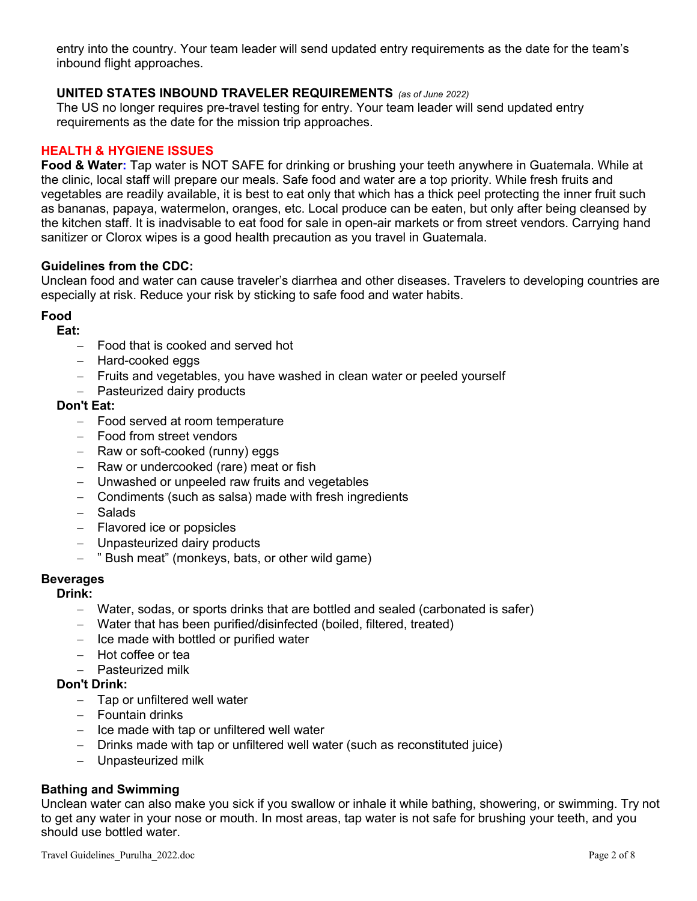entry into the country. Your team leader will send updated entry requirements as the date for the team's inbound flight approaches.

## **UNITED STATES INBOUND TRAVELER REQUIREMENTS** *(as of June 2022)*

The US no longer requires pre-travel testing for entry. Your team leader will send updated entry requirements as the date for the mission trip approaches.

## **HEALTH & HYGIENE ISSUES**

**Food & Water:** Tap water is NOT SAFE for drinking or brushing your teeth anywhere in Guatemala. While at the clinic, local staff will prepare our meals. Safe food and water are a top priority. While fresh fruits and vegetables are readily available, it is best to eat only that which has a thick peel protecting the inner fruit such as bananas, papaya, watermelon, oranges, etc. Local produce can be eaten, but only after being cleansed by the kitchen staff. It is inadvisable to eat food for sale in open-air markets or from street vendors. Carrying hand sanitizer or Clorox wipes is a good health precaution as you travel in Guatemala.

### **Guidelines from the CDC:**

Unclean food and water can cause traveler's diarrhea and other diseases. Travelers to developing countries are especially at risk. Reduce your risk by sticking to safe food and water habits.

### **Food**

## **Eat:**

- Food that is cooked and served hot
- Hard-cooked eggs
- Fruits and vegetables, you have washed in clean water or peeled yourself
- Pasteurized dairy products

## **Don't Eat:**

- Food served at room temperature
- Food from street vendors
- Raw or soft-cooked (runny) eggs
- Raw or undercooked (rare) meat or fish
- Unwashed or unpeeled raw fruits and vegetables
- Condiments (such as salsa) made with fresh ingredients
- Salads
- Flavored ice or popsicles
- Unpasteurized dairy products
- " Bush meat" (monkeys, bats, or other wild game)

## **Beverages**

# **Drink:**

- Water, sodas, or sports drinks that are bottled and sealed (carbonated is safer)
- Water that has been purified/disinfected (boiled, filtered, treated)
- Ice made with bottled or purified water
- Hot coffee or tea
- Pasteurized milk

## **Don't Drink:**

- Tap or unfiltered well water
- Fountain drinks
- Ice made with tap or unfiltered well water
- Drinks made with tap or unfiltered well water (such as reconstituted juice)
- Unpasteurized milk

## **Bathing and Swimming**

Unclean water can also make you sick if you swallow or inhale it while bathing, showering, or swimming. Try not to get any water in your nose or mouth. In most areas, tap water is not safe for brushing your teeth, and you should use bottled water.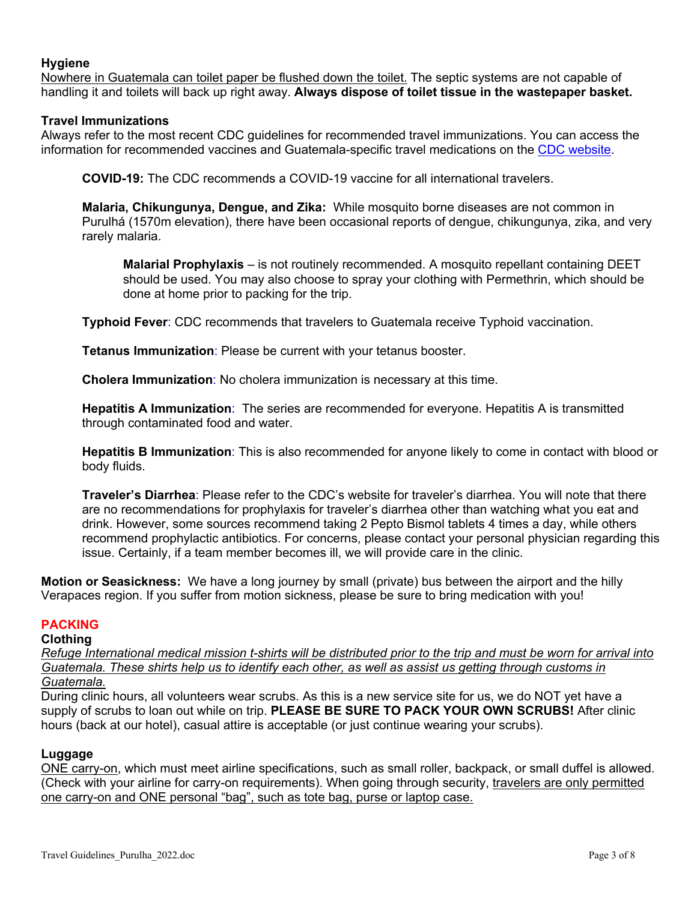## **Hygiene**

Nowhere in Guatemala can toilet paper be flushed down the toilet. The septic systems are not capable of handling it and toilets will back up right away. **Always dispose of toilet tissue in the wastepaper basket.** 

## **Travel Immunizations**

Always refer to the most recent CDC guidelines for recommended travel immunizations. You can access the information for recommended vaccines and Guatemala-specific travel medications on the CDC website.

**COVID-19:** The CDC recommends a COVID-19 vaccine for all international travelers.

**Malaria, Chikungunya, Dengue, and Zika:** While mosquito borne diseases are not common in Purulhá (1570m elevation), there have been occasional reports of dengue, chikungunya, zika, and very rarely malaria.

**Malarial Prophylaxis** – is not routinely recommended. A mosquito repellant containing DEET should be used. You may also choose to spray your clothing with Permethrin, which should be done at home prior to packing for the trip.

**Typhoid Fever**: CDC recommends that travelers to Guatemala receive Typhoid vaccination.

**Tetanus Immunization**: Please be current with your tetanus booster.

**Cholera Immunization**: No cholera immunization is necessary at this time.

**Hepatitis A Immunization**: The series are recommended for everyone. Hepatitis A is transmitted through contaminated food and water.

**Hepatitis B Immunization**: This is also recommended for anyone likely to come in contact with blood or body fluids.

**Traveler's Diarrhea**: Please refer to the CDC's website for traveler's diarrhea. You will note that there are no recommendations for prophylaxis for traveler's diarrhea other than watching what you eat and drink. However, some sources recommend taking 2 Pepto Bismol tablets 4 times a day, while others recommend prophylactic antibiotics. For concerns, please contact your personal physician regarding this issue. Certainly, if a team member becomes ill, we will provide care in the clinic.

**Motion or Seasickness:** We have a long journey by small (private) bus between the airport and the hilly Verapaces region. If you suffer from motion sickness, please be sure to bring medication with you!

### **PACKING**

**Clothing**

*Refuge International medical mission t-shirts will be distributed prior to the trip and must be worn for arrival into Guatemala. These shirts help us to identify each other, as well as assist us getting through customs in Guatemala.*

During clinic hours, all volunteers wear scrubs. As this is a new service site for us, we do NOT yet have a supply of scrubs to loan out while on trip. **PLEASE BE SURE TO PACK YOUR OWN SCRUBS!** After clinic hours (back at our hotel), casual attire is acceptable (or just continue wearing your scrubs).

#### **Luggage**

ONE carry-on, which must meet airline specifications, such as small roller, backpack, or small duffel is allowed. (Check with your airline for carry-on requirements). When going through security, travelers are only permitted one carry-on and ONE personal "bag", such as tote bag, purse or laptop case.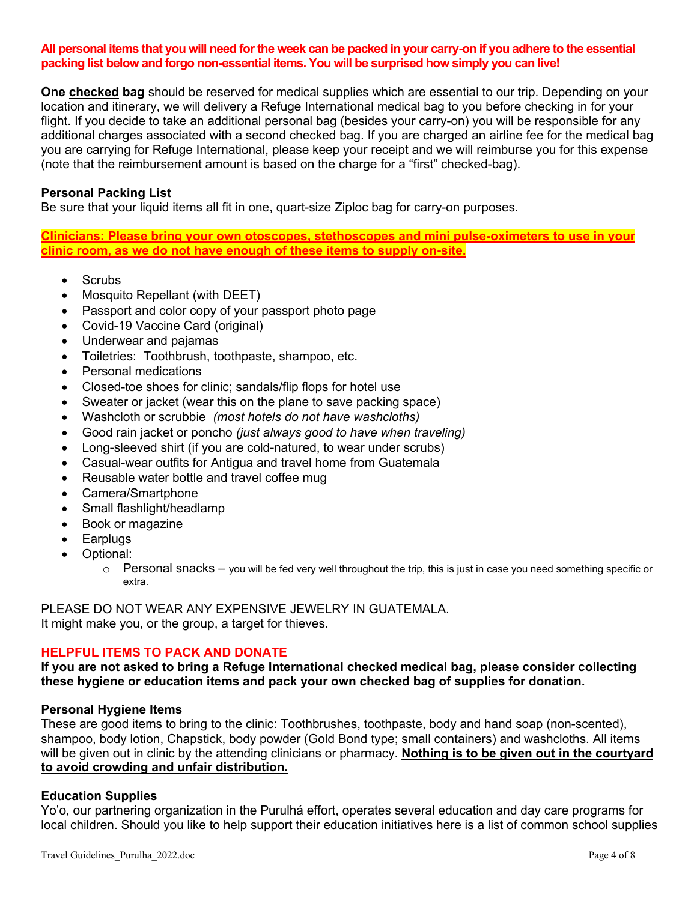#### **All personal items that you will need for the week can be packed in your carry-on if you adhere to the essential packing list below and forgo non-essential items. You will be surprised how simply you can live!**

**One checked bag** should be reserved for medical supplies which are essential to our trip. Depending on your location and itinerary, we will delivery a Refuge International medical bag to you before checking in for your flight. If you decide to take an additional personal bag (besides your carry-on) you will be responsible for any additional charges associated with a second checked bag. If you are charged an airline fee for the medical bag you are carrying for Refuge International, please keep your receipt and we will reimburse you for this expense (note that the reimbursement amount is based on the charge for a "first" checked-bag).

### **Personal Packing List**

Be sure that your liquid items all fit in one, quart-size Ziploc bag for carry-on purposes.

**Clinicians: Please bring your own otoscopes, stethoscopes and mini pulse-oximeters to use in your clinic room, as we do not have enough of these items to supply on-site.** 

- Scrubs
- Mosquito Repellant (with DEET)
- Passport and color copy of your passport photo page
- Covid-19 Vaccine Card (original)
- Underwear and pajamas
- Toiletries: Toothbrush, toothpaste, shampoo, etc.
- Personal medications
- Closed-toe shoes for clinic; sandals/flip flops for hotel use
- Sweater or jacket (wear this on the plane to save packing space)
- Washcloth or scrubbie *(most hotels do not have washcloths)*
- Good rain jacket or poncho *(just always good to have when traveling)*
- Long-sleeved shirt (if you are cold-natured, to wear under scrubs)
- Casual-wear outfits for Antigua and travel home from Guatemala
- Reusable water bottle and travel coffee mug
- Camera/Smartphone
- Small flashlight/headlamp
- Book or magazine
- Earplugs
- Optional:
	- $\circ$  Personal snacks you will be fed very well throughout the trip, this is just in case you need something specific or extra.

PLEASE DO NOT WEAR ANY EXPENSIVE JEWELRY IN GUATEMALA. It might make you, or the group, a target for thieves.

### **HELPFUL ITEMS TO PACK AND DONATE**

**If you are not asked to bring a Refuge International checked medical bag, please consider collecting these hygiene or education items and pack your own checked bag of supplies for donation.**

#### **Personal Hygiene Items**

These are good items to bring to the clinic: Toothbrushes, toothpaste, body and hand soap (non-scented), shampoo, body lotion, Chapstick, body powder (Gold Bond type; small containers) and washcloths. All items will be given out in clinic by the attending clinicians or pharmacy. **Nothing is to be given out in the courtyard to avoid crowding and unfair distribution.**

### **Education Supplies**

Yo'o, our partnering organization in the Purulhá effort, operates several education and day care programs for local children. Should you like to help support their education initiatives here is a list of common school supplies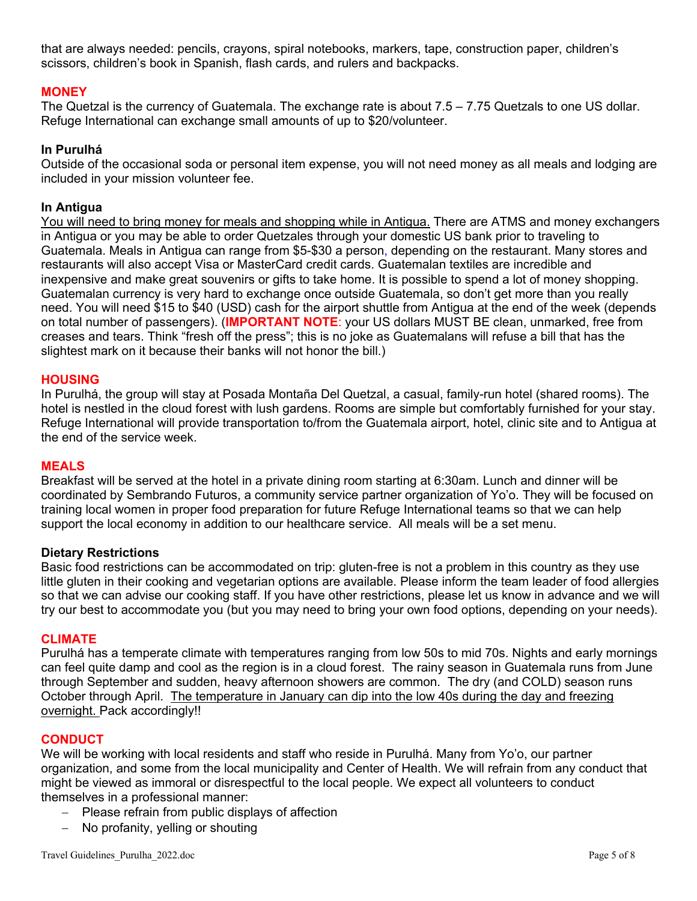that are always needed: pencils, crayons, spiral notebooks, markers, tape, construction paper, children's scissors, children's book in Spanish, flash cards, and rulers and backpacks.

## **MONEY**

The Quetzal is the currency of Guatemala. The exchange rate is about 7.5 – 7.75 Quetzals to one US dollar. Refuge International can exchange small amounts of up to \$20/volunteer.

## **In Purulhá**

Outside of the occasional soda or personal item expense, you will not need money as all meals and lodging are included in your mission volunteer fee.

## **In Antigua**

You will need to bring money for meals and shopping while in Antigua. There are ATMS and money exchangers in Antigua or you may be able to order Quetzales through your domestic US bank prior to traveling to Guatemala. Meals in Antigua can range from \$5-\$30 a person, depending on the restaurant. Many stores and restaurants will also accept Visa or MasterCard credit cards. Guatemalan textiles are incredible and inexpensive and make great souvenirs or gifts to take home. It is possible to spend a lot of money shopping. Guatemalan currency is very hard to exchange once outside Guatemala, so don't get more than you really need. You will need \$15 to \$40 (USD) cash for the airport shuttle from Antigua at the end of the week (depends on total number of passengers). (**IMPORTANT NOTE**: your US dollars MUST BE clean, unmarked, free from creases and tears. Think "fresh off the press"; this is no joke as Guatemalans will refuse a bill that has the slightest mark on it because their banks will not honor the bill.)

### **HOUSING**

In Purulhá, the group will stay at Posada Montaña Del Quetzal, a casual, family-run hotel (shared rooms). The hotel is nestled in the cloud forest with lush gardens. Rooms are simple but comfortably furnished for your stay. Refuge International will provide transportation to/from the Guatemala airport, hotel, clinic site and to Antigua at the end of the service week.

### **MEALS**

Breakfast will be served at the hotel in a private dining room starting at 6:30am. Lunch and dinner will be coordinated by Sembrando Futuros, a community service partner organization of Yo'o. They will be focused on training local women in proper food preparation for future Refuge International teams so that we can help support the local economy in addition to our healthcare service. All meals will be a set menu.

### **Dietary Restrictions**

Basic food restrictions can be accommodated on trip: gluten-free is not a problem in this country as they use little gluten in their cooking and vegetarian options are available. Please inform the team leader of food allergies so that we can advise our cooking staff. If you have other restrictions, please let us know in advance and we will try our best to accommodate you (but you may need to bring your own food options, depending on your needs).

### **CLIMATE**

Purulhá has a temperate climate with temperatures ranging from low 50s to mid 70s. Nights and early mornings can feel quite damp and cool as the region is in a cloud forest. The rainy season in Guatemala runs from June through September and sudden, heavy afternoon showers are common. The dry (and COLD) season runs October through April. The temperature in January can dip into the low 40s during the day and freezing overnight. Pack accordingly!!

### **CONDUCT**

We will be working with local residents and staff who reside in Purulhá. Many from Yo'o, our partner organization, and some from the local municipality and Center of Health. We will refrain from any conduct that might be viewed as immoral or disrespectful to the local people. We expect all volunteers to conduct themselves in a professional manner:

- Please refrain from public displays of affection
- No profanity, yelling or shouting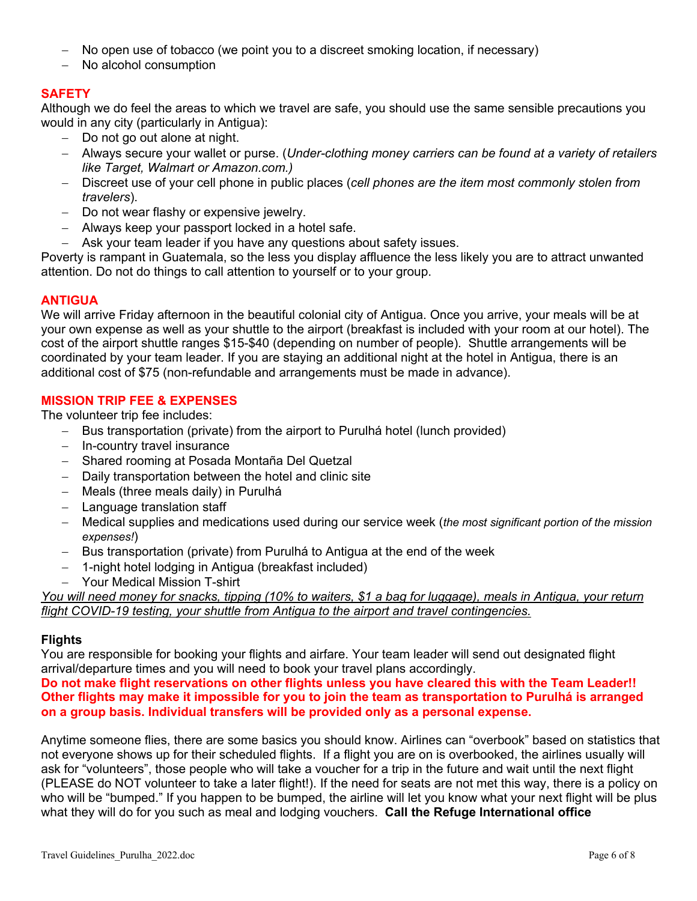- No open use of tobacco (we point you to a discreet smoking location, if necessary)
- No alcohol consumption

## **SAFETY**

Although we do feel the areas to which we travel are safe, you should use the same sensible precautions you would in any city (particularly in Antigua):

- Do not go out alone at night.
- Always secure your wallet or purse. (*Under-clothing money carriers can be found at a variety of retailers like Target, Walmart or Amazon.com.)*
- Discreet use of your cell phone in public places (*cell phones are the item most commonly stolen from travelers*).
- Do not wear flashy or expensive jewelry.
- Always keep your passport locked in a hotel safe.
- Ask your team leader if you have any questions about safety issues.

Poverty is rampant in Guatemala, so the less you display affluence the less likely you are to attract unwanted attention. Do not do things to call attention to yourself or to your group.

## **ANTIGUA**

We will arrive Friday afternoon in the beautiful colonial city of Antigua. Once you arrive, your meals will be at your own expense as well as your shuttle to the airport (breakfast is included with your room at our hotel). The cost of the airport shuttle ranges \$15-\$40 (depending on number of people). Shuttle arrangements will be coordinated by your team leader. If you are staying an additional night at the hotel in Antigua, there is an additional cost of \$75 (non-refundable and arrangements must be made in advance).

## **MISSION TRIP FEE & EXPENSES**

The volunteer trip fee includes:

- Bus transportation (private) from the airport to Purulhá hotel (lunch provided)
- In-country travel insurance
- Shared rooming at Posada Montaña Del Quetzal
- Daily transportation between the hotel and clinic site
- Meals (three meals daily) in Purulhá
- Language translation staff
- Medical supplies and medications used during our service week (*the most significant portion of the mission expenses!*)
- Bus transportation (private) from Purulhá to Antigua at the end of the week
- 1-night hotel lodging in Antigua (breakfast included)
- Your Medical Mission T-shirt

*You will need money for snacks, tipping (10% to waiters, \$1 a bag for luggage), meals in Antigua, your return flight COVID-19 testing, your shuttle from Antigua to the airport and travel contingencies.*

### **Flights**

You are responsible for booking your flights and airfare. Your team leader will send out designated flight arrival/departure times and you will need to book your travel plans accordingly.

**Do not make flight reservations on other flights unless you have cleared this with the Team Leader!! Other flights may make it impossible for you to join the team as transportation to Purulhá is arranged on a group basis. Individual transfers will be provided only as a personal expense.**

Anytime someone flies, there are some basics you should know. Airlines can "overbook" based on statistics that not everyone shows up for their scheduled flights. If a flight you are on is overbooked, the airlines usually will ask for "volunteers", those people who will take a voucher for a trip in the future and wait until the next flight (PLEASE do NOT volunteer to take a later flight!). If the need for seats are not met this way, there is a policy on who will be "bumped." If you happen to be bumped, the airline will let you know what your next flight will be plus what they will do for you such as meal and lodging vouchers. **Call the Refuge International office**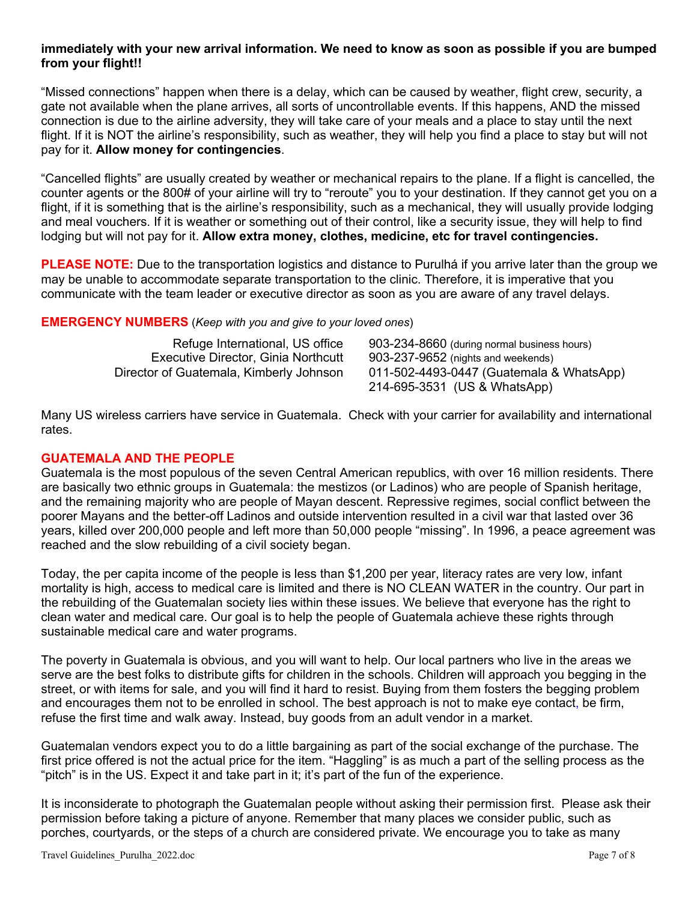## **immediately with your new arrival information. We need to know as soon as possible if you are bumped from your flight!!**

"Missed connections" happen when there is a delay, which can be caused by weather, flight crew, security, a gate not available when the plane arrives, all sorts of uncontrollable events. If this happens, AND the missed connection is due to the airline adversity, they will take care of your meals and a place to stay until the next flight. If it is NOT the airline's responsibility, such as weather, they will help you find a place to stay but will not pay for it. **Allow money for contingencies**.

"Cancelled flights" are usually created by weather or mechanical repairs to the plane. If a flight is cancelled, the counter agents or the 800# of your airline will try to "reroute" you to your destination. If they cannot get you on a flight, if it is something that is the airline's responsibility, such as a mechanical, they will usually provide lodging and meal vouchers. If it is weather or something out of their control, like a security issue, they will help to find lodging but will not pay for it. **Allow extra money, clothes, medicine, etc for travel contingencies.**

**PLEASE NOTE:** Due to the transportation logistics and distance to Purulhá if you arrive later than the group we may be unable to accommodate separate transportation to the clinic. Therefore, it is imperative that you communicate with the team leader or executive director as soon as you are aware of any travel delays.

## **EMERGENCY NUMBERS** (*Keep with you and give to your loved ones*)

| Refuge International, US office            | 903-234-8660 (during normal business hours) |
|--------------------------------------------|---------------------------------------------|
| <b>Executive Director, Ginia Northcutt</b> | 903-237-9652 (nights and weekends)          |
| Director of Guatemala, Kimberly Johnson    | 011-502-4493-0447 (Guatemala & WhatsApp)    |
|                                            | 214-695-3531 (US & WhatsApp)                |

Many US wireless carriers have service in Guatemala. Check with your carrier for availability and international rates.

## **GUATEMALA AND THE PEOPLE**

Guatemala is the most populous of the seven Central American republics, with over 16 million residents. There are basically two ethnic groups in Guatemala: the mestizos (or Ladinos) who are people of Spanish heritage, and the remaining majority who are people of Mayan descent. Repressive regimes, social conflict between the poorer Mayans and the better-off Ladinos and outside intervention resulted in a civil war that lasted over 36 years, killed over 200,000 people and left more than 50,000 people "missing". In 1996, a peace agreement was reached and the slow rebuilding of a civil society began.

Today, the per capita income of the people is less than \$1,200 per year, literacy rates are very low, infant mortality is high, access to medical care is limited and there is NO CLEAN WATER in the country. Our part in the rebuilding of the Guatemalan society lies within these issues. We believe that everyone has the right to clean water and medical care. Our goal is to help the people of Guatemala achieve these rights through sustainable medical care and water programs.

The poverty in Guatemala is obvious, and you will want to help. Our local partners who live in the areas we serve are the best folks to distribute gifts for children in the schools. Children will approach you begging in the street, or with items for sale, and you will find it hard to resist. Buying from them fosters the begging problem and encourages them not to be enrolled in school. The best approach is not to make eye contact, be firm, refuse the first time and walk away. Instead, buy goods from an adult vendor in a market.

Guatemalan vendors expect you to do a little bargaining as part of the social exchange of the purchase. The first price offered is not the actual price for the item. "Haggling" is as much a part of the selling process as the "pitch" is in the US. Expect it and take part in it; it's part of the fun of the experience.

It is inconsiderate to photograph the Guatemalan people without asking their permission first. Please ask their permission before taking a picture of anyone. Remember that many places we consider public, such as porches, courtyards, or the steps of a church are considered private. We encourage you to take as many